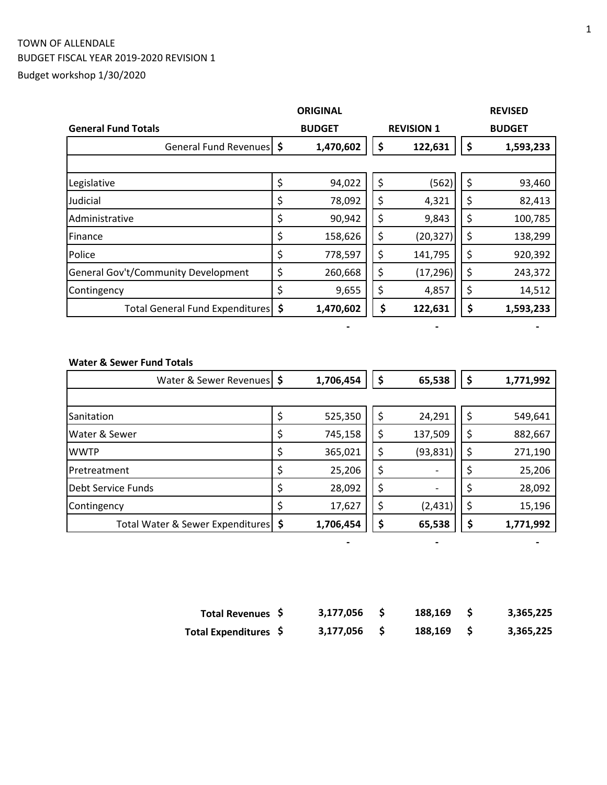# TOWN OF ALLENDALE BUDGET FISCAL YEAR 2019-2020 REVISION 1 Budget workshop 1/30/2020

|                                            | <b>ORIGINAL</b> |    |                   | <b>REVISED</b>  |
|--------------------------------------------|-----------------|----|-------------------|-----------------|
| <b>General Fund Totals</b>                 | <b>BUDGET</b>   |    | <b>REVISION 1</b> | <b>BUDGET</b>   |
| General Fund Revenues   \$                 | 1,470,602       | \$ | 122,631           | \$<br>1,593,233 |
|                                            |                 |    |                   |                 |
| Legislative                                | \$<br>94,022    | \$ | (562)             | \$<br>93,460    |
| Judicial                                   | \$<br>78,092    | \$ | 4,321             | \$<br>82,413    |
| Administrative                             | \$<br>90,942    | \$ | 9,843             | \$<br>100,785   |
| Finance                                    | \$<br>158,626   | \$ | (20, 327)         | \$<br>138,299   |
| Police                                     | \$<br>778,597   | \$ | 141,795           | \$<br>920,392   |
| <b>General Gov't/Community Development</b> | \$<br>260,668   | \$ | (17, 296)         | \$<br>243,372   |
| Contingency                                | \$<br>9,655     | \$ | 4,857             | \$<br>14,512    |
| Total General Fund Expenditures   \$       | 1,470,602       | \$ | 122,631           | \$<br>1,593,233 |

#### **Water & Sewer Fund Totals**

| Water & Sewer Revenues   \$           | 1,706,454     | \$<br>65,538                   | Ş  | 1,771,992 |
|---------------------------------------|---------------|--------------------------------|----|-----------|
|                                       |               |                                |    |           |
| Sanitation                            | \$<br>525,350 | \$<br>24,291                   | \$ | 549,641   |
| Water & Sewer                         | \$<br>745,158 | \$<br>137,509                  | \$ | 882,667   |
| <b>WWTP</b>                           | \$<br>365,021 | \$<br>(93, 831)                | \$ | 271,190   |
| <b>Pretreatment</b>                   | \$<br>25,206  | \$<br>$\overline{\phantom{a}}$ |    | 25,206    |
| Debt Service Funds                    | \$<br>28,092  | \$<br>$\overline{\phantom{a}}$ |    | 28,092    |
| Contingency                           | \$<br>17,627  | \$<br>(2, 431)                 | \$ | 15,196    |
| Total Water & Sewer Expenditures   \$ | 1,706,454     | \$<br>65,538                   |    | 1,771,992 |

| Total Revenues \$     | 3,177,056 | 188.169 | 3,365,225 |
|-----------------------|-----------|---------|-----------|
| Total Expenditures \$ | 3,177,056 | 188,169 | 3,365,225 |

 **- - -**

 **- - -**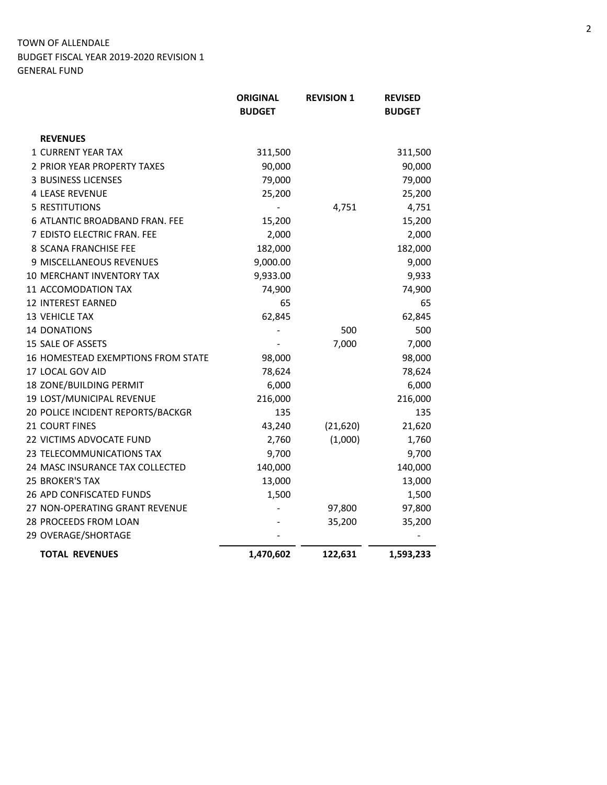|                                    | <b>ORIGINAL</b><br><b>BUDGET</b> | <b>REVISION 1</b> | <b>REVISED</b><br><b>BUDGET</b> |
|------------------------------------|----------------------------------|-------------------|---------------------------------|
| <b>REVENUES</b>                    |                                  |                   |                                 |
| <b>1 CURRENT YEAR TAX</b>          | 311,500                          |                   | 311,500                         |
| 2 PRIOR YEAR PROPERTY TAXES        | 90,000                           |                   | 90,000                          |
| <b>3 BUSINESS LICENSES</b>         | 79,000                           |                   | 79,000                          |
| <b>4 LEASE REVENUE</b>             | 25,200                           |                   | 25,200                          |
| <b>5 RESTITUTIONS</b>              |                                  | 4,751             | 4,751                           |
| 6 ATLANTIC BROADBAND FRAN. FEE     | 15,200                           |                   | 15,200                          |
| 7 EDISTO ELECTRIC FRAN. FEE        | 2,000                            |                   | 2,000                           |
| 8 SCANA FRANCHISE FEE              | 182,000                          |                   | 182,000                         |
| 9 MISCELLANEOUS REVENUES           | 9,000.00                         |                   | 9,000                           |
| 10 MERCHANT INVENTORY TAX          | 9,933.00                         |                   | 9,933                           |
| 11 ACCOMODATION TAX                | 74,900                           |                   | 74,900                          |
| 12 INTEREST EARNED                 | 65                               |                   | 65                              |
| 13 VEHICLE TAX                     | 62,845                           |                   | 62,845                          |
| 14 DONATIONS                       |                                  | 500               | 500                             |
| 15 SALE OF ASSETS                  |                                  | 7,000             | 7,000                           |
| 16 HOMESTEAD EXEMPTIONS FROM STATE | 98,000                           |                   | 98,000                          |
| 17 LOCAL GOV AID                   | 78,624                           |                   | 78,624                          |
| 18 ZONE/BUILDING PERMIT            | 6,000                            |                   | 6,000                           |
| 19 LOST/MUNICIPAL REVENUE          | 216,000                          |                   | 216,000                         |
| 20 POLICE INCIDENT REPORTS/BACKGR  | 135                              |                   | 135                             |
| 21 COURT FINES                     | 43,240                           | (21, 620)         | 21,620                          |
| 22 VICTIMS ADVOCATE FUND           | 2,760                            | (1,000)           | 1,760                           |
| 23 TELECOMMUNICATIONS TAX          | 9,700                            |                   | 9,700                           |
| 24 MASC INSURANCE TAX COLLECTED    | 140,000                          |                   | 140,000                         |
| 25 BROKER'S TAX                    | 13,000                           |                   | 13,000                          |
| <b>26 APD CONFISCATED FUNDS</b>    | 1,500                            |                   | 1,500                           |
| 27 NON-OPERATING GRANT REVENUE     |                                  | 97,800            | 97,800                          |
| 28 PROCEEDS FROM LOAN              |                                  | 35,200            | 35,200                          |
| 29 OVERAGE/SHORTAGE                |                                  |                   |                                 |
| <b>TOTAL REVENUES</b>              | 1,470,602                        | 122,631           | 1,593,233                       |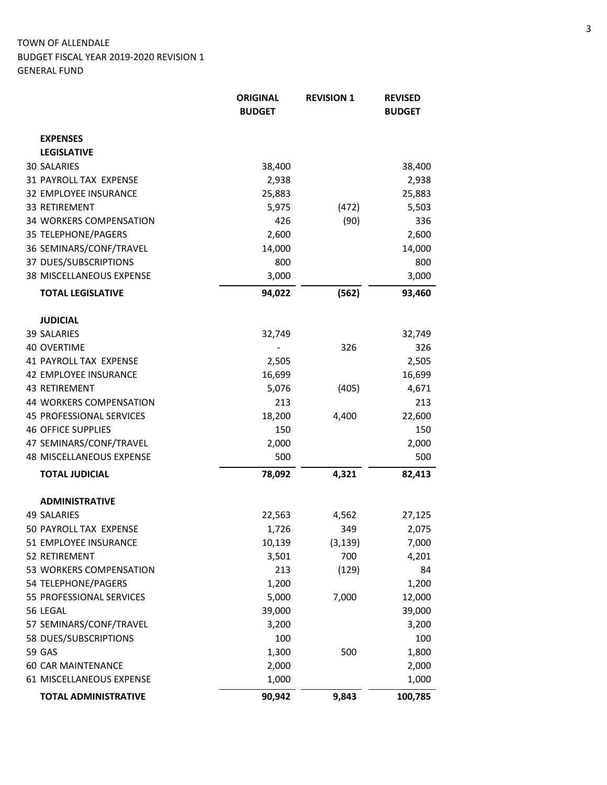|                             | <b>ORIGINAL</b><br><b>BUDGET</b> | <b>REVISION 1</b> | <b>REVISED</b><br><b>BUDGET</b> |
|-----------------------------|----------------------------------|-------------------|---------------------------------|
| <b>EXPENSES</b>             |                                  |                   |                                 |
| <b>LEGISLATIVE</b>          |                                  |                   |                                 |
| <b>30 SALARIES</b>          | 38,400                           |                   | 38,400                          |
| 31 PAYROLL TAX EXPENSE      | 2,938                            |                   | 2,938                           |
| 32 EMPLOYEE INSURANCE       | 25,883                           |                   | 25,883                          |
| <b>33 RETIREMENT</b>        | 5,975                            | (472)             | 5,503                           |
| 34 WORKERS COMPENSATION     | 426                              | (90)              | 336                             |
| 35 TELEPHONE/PAGERS         | 2,600                            |                   | 2,600                           |
| 36 SEMINARS/CONF/TRAVEL     | 14,000                           |                   | 14,000                          |
| 37 DUES/SUBSCRIPTIONS       | 800                              |                   | 800                             |
| 38 MISCELLANEOUS EXPENSE    | 3,000                            |                   | 3,000                           |
| <b>TOTAL LEGISLATIVE</b>    | 94,022                           | (562)             | 93,460                          |
| <b>JUDICIAL</b>             |                                  |                   |                                 |
| <b>39 SALARIES</b>          | 32,749                           |                   | 32,749                          |
| <b>40 OVERTIME</b>          |                                  | 326               | 326                             |
| 41 PAYROLL TAX EXPENSE      | 2,505                            |                   | 2,505                           |
| 42 EMPLOYEE INSURANCE       | 16,699                           |                   | 16,699                          |
| 43 RETIREMENT               | 5,076                            | (405)             | 4,671                           |
| 44 WORKERS COMPENSATION     | 213                              |                   | 213                             |
| 45 PROFESSIONAL SERVICES    | 18,200                           | 4,400             | 22,600                          |
| <b>46 OFFICE SUPPLIES</b>   | 150                              |                   | 150                             |
| 47 SEMINARS/CONF/TRAVEL     | 2,000                            |                   | 2,000                           |
| 48 MISCELLANEOUS EXPENSE    | 500                              |                   | 500                             |
| <b>TOTAL JUDICIAL</b>       | 78,092                           | 4,321             | 82,413                          |
| <b>ADMINISTRATIVE</b>       |                                  |                   |                                 |
| <b>49 SALARIES</b>          | 22,563                           | 4,562             | 27,125                          |
| 50 PAYROLL TAX EXPENSE      | 1,726                            | 349               | 2,075                           |
| 51 EMPLOYEE INSURANCE       | 10,139                           | (3, 139)          | 7,000                           |
| 52 RETIREMENT               | 3,501                            | 700               | 4,201                           |
| 53 WORKERS COMPENSATION     | 213                              | (129)             | 84                              |
| 54 TELEPHONE/PAGERS         | 1,200                            |                   | 1,200                           |
| 55 PROFESSIONAL SERVICES    | 5,000                            | 7,000             | 12,000                          |
| 56 LEGAL                    | 39,000                           |                   | 39,000                          |
| 57 SEMINARS/CONF/TRAVEL     | 3,200                            |                   | 3,200                           |
| 58 DUES/SUBSCRIPTIONS       | 100                              |                   | 100                             |
| 59 GAS                      | 1,300                            | 500               | 1,800                           |
| <b>60 CAR MAINTENANCE</b>   | 2,000                            |                   | 2,000                           |
| 61 MISCELLANEOUS EXPENSE    | 1,000                            |                   | 1,000                           |
| <b>TOTAL ADMINISTRATIVE</b> | 90,942                           | 9,843             | 100,785                         |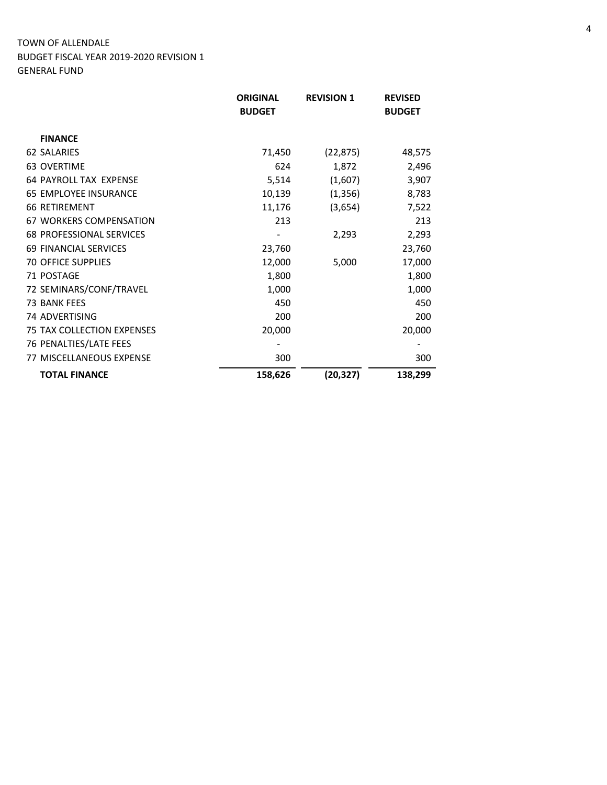|                                   | <b>ORIGINAL</b> | <b>REVISION 1</b> | <b>REVISED</b> |
|-----------------------------------|-----------------|-------------------|----------------|
|                                   | <b>BUDGET</b>   |                   | <b>BUDGET</b>  |
| <b>FINANCE</b>                    |                 |                   |                |
| <b>62 SALARIES</b>                | 71,450          | (22, 875)         | 48,575         |
| 63 OVERTIME                       | 624             | 1,872             | 2,496          |
| <b>64 PAYROLL TAX EXPENSE</b>     | 5,514           | (1,607)           | 3,907          |
| 65 EMPLOYEE INSURANCE             | 10,139          | (1, 356)          | 8,783          |
| <b>66 RETIREMENT</b>              | 11,176          | (3,654)           | 7,522          |
| <b>67 WORKERS COMPENSATION</b>    | 213             |                   | 213            |
| <b>68 PROFESSIONAL SERVICES</b>   |                 | 2,293             | 2,293          |
| <b>69 FINANCIAL SERVICES</b>      | 23,760          |                   | 23,760         |
| <b>70 OFFICE SUPPLIES</b>         | 12,000          | 5,000             | 17,000         |
| 71 POSTAGE                        | 1,800           |                   | 1,800          |
| 72 SEMINARS/CONF/TRAVEL           | 1,000           |                   | 1,000          |
| <b>73 BANK FEES</b>               | 450             |                   | 450            |
| 74 ADVERTISING                    | 200             |                   | 200            |
| <b>75 TAX COLLECTION EXPENSES</b> | 20,000          |                   | 20,000         |
| 76 PENALTIES/LATE FEES            |                 |                   |                |
| <b>77 MISCELLANEOUS EXPENSE</b>   | 300             |                   | 300            |
| <b>TOTAL FINANCE</b>              | 158,626         | (20, 327)         | 138,299        |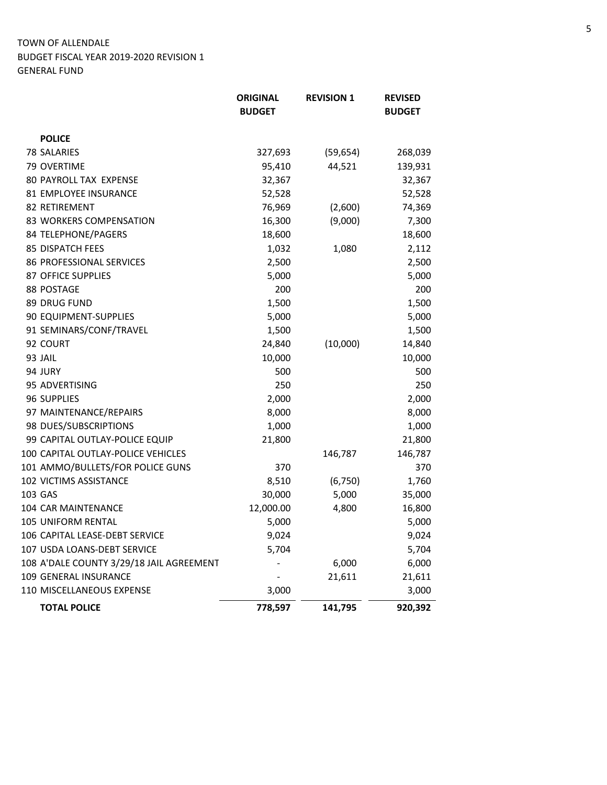|                                          | <b>ORIGINAL</b><br><b>BUDGET</b> | <b>REVISION 1</b> | <b>REVISED</b><br><b>BUDGET</b> |
|------------------------------------------|----------------------------------|-------------------|---------------------------------|
|                                          |                                  |                   |                                 |
| <b>POLICE</b>                            |                                  |                   |                                 |
| <b>78 SALARIES</b>                       | 327,693                          | (59, 654)         | 268,039                         |
| 79 OVERTIME                              | 95,410                           | 44,521            | 139,931                         |
| 80 PAYROLL TAX EXPENSE                   | 32,367                           |                   | 32,367                          |
| 81 EMPLOYEE INSURANCE                    | 52,528                           |                   | 52,528                          |
| <b>82 RETIREMENT</b>                     | 76,969                           | (2,600)           | 74,369                          |
| 83 WORKERS COMPENSATION                  | 16,300                           | (9,000)           | 7,300                           |
| 84 TELEPHONE/PAGERS                      | 18,600                           |                   | 18,600                          |
| <b>85 DISPATCH FEES</b>                  | 1,032                            | 1,080             | 2,112                           |
| 86 PROFESSIONAL SERVICES                 | 2,500                            |                   | 2,500                           |
| 87 OFFICE SUPPLIES                       | 5,000                            |                   | 5,000                           |
| 88 POSTAGE                               | 200                              |                   | 200                             |
| 89 DRUG FUND                             | 1,500                            |                   | 1,500                           |
| 90 EQUIPMENT-SUPPLIES                    | 5,000                            |                   | 5,000                           |
| 91 SEMINARS/CONF/TRAVEL                  | 1,500                            |                   | 1,500                           |
| 92 COURT                                 | 24,840                           | (10,000)          | 14,840                          |
| 93 JAIL                                  | 10,000                           |                   | 10,000                          |
| 94 JURY                                  | 500                              |                   | 500                             |
| 95 ADVERTISING                           | 250                              |                   | 250                             |
| 96 SUPPLIES                              | 2,000                            |                   | 2,000                           |
| 97 MAINTENANCE/REPAIRS                   | 8,000                            |                   | 8,000                           |
| 98 DUES/SUBSCRIPTIONS                    | 1,000                            |                   | 1,000                           |
| 99 CAPITAL OUTLAY-POLICE EQUIP           | 21,800                           |                   | 21,800                          |
| 100 CAPITAL OUTLAY-POLICE VEHICLES       |                                  | 146,787           | 146,787                         |
| 101 AMMO/BULLETS/FOR POLICE GUNS         | 370                              |                   | 370                             |
| 102 VICTIMS ASSISTANCE                   | 8,510                            | (6, 750)          | 1,760                           |
| 103 GAS                                  | 30,000                           | 5,000             | 35,000                          |
| 104 CAR MAINTENANCE                      | 12,000.00                        | 4,800             | 16,800                          |
| 105 UNIFORM RENTAL                       | 5,000                            |                   | 5,000                           |
| 106 CAPITAL LEASE-DEBT SERVICE           | 9,024                            |                   | 9,024                           |
| 107 USDA LOANS-DEBT SERVICE              | 5,704                            |                   | 5,704                           |
| 108 A'DALE COUNTY 3/29/18 JAIL AGREEMENT |                                  | 6,000             | 6,000                           |
| 109 GENERAL INSURANCE                    |                                  | 21,611            | 21,611                          |
| 110 MISCELLANEOUS EXPENSE                | 3,000                            |                   | 3,000                           |
| <b>TOTAL POLICE</b>                      | 778,597                          | 141,795           | 920,392                         |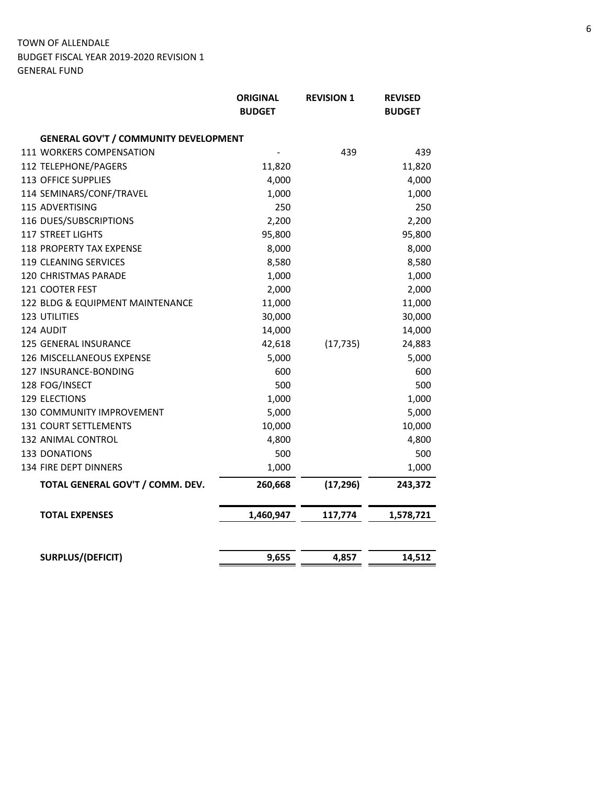|                                              | <b>ORIGINAL</b><br><b>BUDGET</b> | <b>REVISION 1</b> | <b>REVISED</b><br><b>BUDGET</b> |
|----------------------------------------------|----------------------------------|-------------------|---------------------------------|
| <b>GENERAL GOV'T / COMMUNITY DEVELOPMENT</b> |                                  |                   |                                 |
| 111 WORKERS COMPENSATION                     |                                  | 439               | 439                             |
| 112 TELEPHONE/PAGERS                         | 11,820                           |                   | 11,820                          |
| <b>113 OFFICE SUPPLIES</b>                   | 4,000                            |                   | 4,000                           |
| 114 SEMINARS/CONF/TRAVEL                     | 1,000                            |                   | 1,000                           |
| 115 ADVERTISING                              | 250                              |                   | 250                             |
| 116 DUES/SUBSCRIPTIONS                       | 2,200                            |                   | 2,200                           |
| <b>117 STREET LIGHTS</b>                     | 95,800                           |                   | 95,800                          |
| 118 PROPERTY TAX EXPENSE                     | 8,000                            |                   | 8,000                           |
| 119 CLEANING SERVICES                        | 8,580                            |                   | 8,580                           |
| 120 CHRISTMAS PARADE                         | 1,000                            |                   | 1,000                           |
| 121 COOTER FEST                              | 2,000                            |                   | 2,000                           |
| 122 BLDG & EQUIPMENT MAINTENANCE             | 11,000                           |                   | 11,000                          |
| 123 UTILITIES                                | 30,000                           |                   | 30,000                          |
| 124 AUDIT                                    | 14,000                           |                   | 14,000                          |
| 125 GENERAL INSURANCE                        | 42,618                           | (17, 735)         | 24,883                          |
| 126 MISCELLANEOUS EXPENSE                    | 5,000                            |                   | 5,000                           |
| 127 INSURANCE-BONDING                        | 600                              |                   | 600                             |
| 128 FOG/INSECT                               | 500                              |                   | 500                             |
| 129 ELECTIONS                                | 1,000                            |                   | 1,000                           |
| 130 COMMUNITY IMPROVEMENT                    | 5,000                            |                   | 5,000                           |
| <b>131 COURT SETTLEMENTS</b>                 | 10,000                           |                   | 10,000                          |
| 132 ANIMAL CONTROL                           | 4,800                            |                   | 4,800                           |
| <b>133 DONATIONS</b>                         | 500                              |                   | 500                             |
| 134 FIRE DEPT DINNERS                        | 1,000                            |                   | 1,000                           |
| TOTAL GENERAL GOV'T / COMM. DEV.             | 260,668                          | (17, 296)         | 243,372                         |
| <b>TOTAL EXPENSES</b>                        | 1,460,947                        | 117,774           | 1,578,721                       |
|                                              |                                  |                   |                                 |
| SURPLUS/(DEFICIT)                            | 9,655                            | 4,857             | 14,512                          |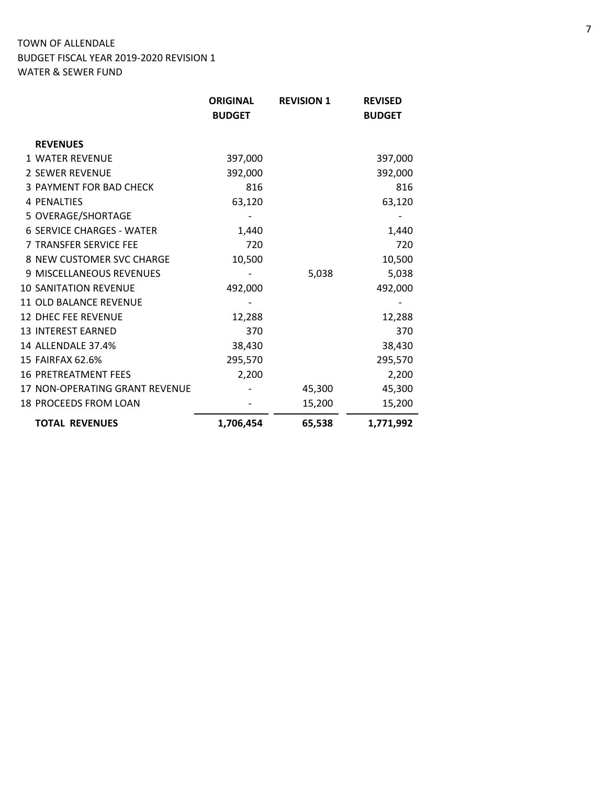|                                  | <b>ORIGINAL</b><br><b>BUDGET</b> | <b>REVISION 1</b> | <b>REVISED</b><br><b>BUDGET</b> |
|----------------------------------|----------------------------------|-------------------|---------------------------------|
| <b>REVENUES</b>                  |                                  |                   |                                 |
| <b>1 WATER REVENUE</b>           | 397,000                          |                   | 397,000                         |
| <b>2 SEWER REVENUE</b>           | 392,000                          |                   | 392,000                         |
| <b>3 PAYMENT FOR BAD CHECK</b>   | 816                              |                   | 816                             |
| 4 PENALTIES                      | 63,120                           |                   | 63,120                          |
| 5 OVERAGE/SHORTAGE               |                                  |                   |                                 |
| <b>6 SERVICE CHARGES - WATER</b> | 1,440                            |                   | 1,440                           |
| 7 TRANSFER SERVICE FEE           | 720                              |                   | 720                             |
| 8 NEW CUSTOMER SVC CHARGE        | 10,500                           |                   | 10,500                          |
| 9 MISCELLANEOUS REVENUES         |                                  | 5,038             | 5,038                           |
| <b>10 SANITATION REVENUE</b>     | 492,000                          |                   | 492,000                         |
| <b>11 OLD BALANCE REVENUE</b>    |                                  |                   |                                 |
| <b>12 DHEC FEE REVENUE</b>       | 12,288                           |                   | 12,288                          |
| <b>13 INTEREST EARNED</b>        | 370                              |                   | 370                             |
| 14 ALLENDALE 37.4%               | 38,430                           |                   | 38,430                          |
| 15 FAIRFAX 62.6%                 | 295,570                          |                   | 295,570                         |
| <b>16 PRETREATMENT FEES</b>      | 2,200                            |                   | 2,200                           |
| 17 NON-OPERATING GRANT REVENUE   |                                  | 45,300            | 45,300                          |
| 18 PROCEEDS FROM LOAN            |                                  | 15,200            | 15,200                          |
| <b>TOTAL REVENUES</b>            | 1,706,454                        | 65,538            | 1,771,992                       |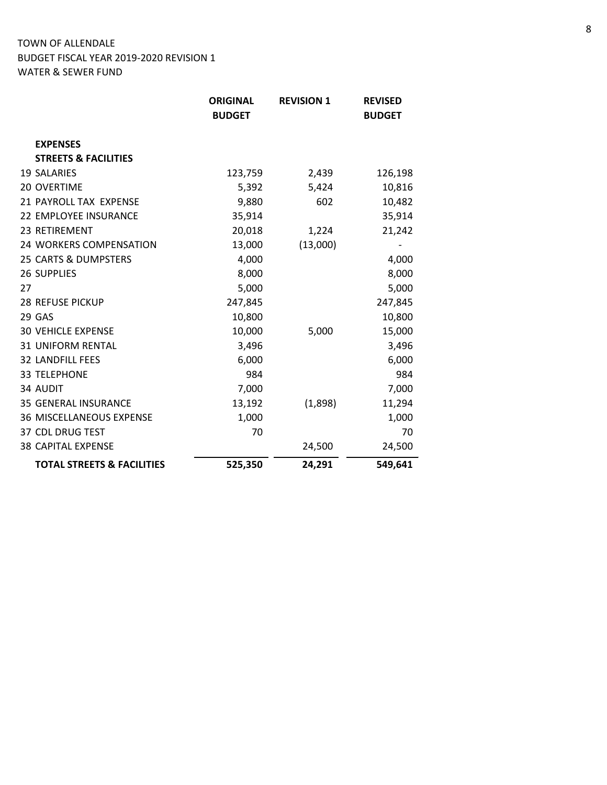|    |                                       | <b>ORIGINAL</b> | <b>REVISION 1</b> | <b>REVISED</b> |
|----|---------------------------------------|-----------------|-------------------|----------------|
|    |                                       | <b>BUDGET</b>   |                   | <b>BUDGET</b>  |
|    | <b>EXPENSES</b>                       |                 |                   |                |
|    | <b>STREETS &amp; FACILITIES</b>       |                 |                   |                |
|    | <b>19 SALARIES</b>                    | 123,759         | 2,439             | 126,198        |
|    | 20 OVERTIME                           | 5,392           | 5,424             | 10,816         |
|    | 21 PAYROLL TAX EXPENSE                | 9,880           | 602               | 10,482         |
|    | 22 EMPLOYEE INSURANCE                 | 35,914          |                   | 35,914         |
|    | 23 RETIREMENT                         | 20,018          | 1,224             | 21,242         |
|    | 24 WORKERS COMPENSATION               | 13,000          | (13,000)          |                |
|    | 25 CARTS & DUMPSTERS                  | 4,000           |                   | 4,000          |
|    | <b>26 SUPPLIES</b>                    | 8,000           |                   | 8,000          |
| 27 |                                       | 5,000           |                   | 5,000          |
|    | 28 REFUSE PICKUP                      | 247,845         |                   | 247,845        |
|    | 29 GAS                                | 10,800          |                   | 10,800         |
|    | <b>30 VEHICLE EXPENSE</b>             | 10,000          | 5,000             | 15,000         |
|    | <b>31 UNIFORM RENTAL</b>              | 3,496           |                   | 3,496          |
|    | <b>32 LANDFILL FEES</b>               | 6,000           |                   | 6,000          |
|    | <b>33 TELEPHONE</b>                   | 984             |                   | 984            |
|    | 34 AUDIT                              | 7,000           |                   | 7,000          |
|    | <b>35 GENERAL INSURANCE</b>           | 13,192          | (1,898)           | 11,294         |
|    | 36 MISCELLANEOUS EXPENSE              | 1,000           |                   | 1,000          |
|    | 37 CDL DRUG TEST                      | 70              |                   | 70             |
|    | <b>38 CAPITAL EXPENSE</b>             |                 | 24,500            | 24,500         |
|    | <b>TOTAL STREETS &amp; FACILITIES</b> | 525,350         | 24,291            | 549,641        |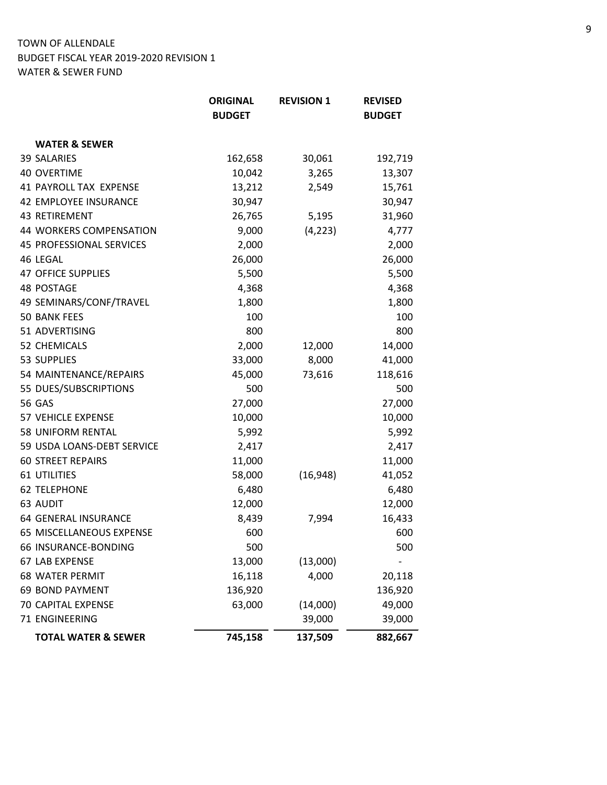|                                 | <b>ORIGINAL</b> | <b>REVISION 1</b> | <b>REVISED</b> |
|---------------------------------|-----------------|-------------------|----------------|
|                                 | <b>BUDGET</b>   |                   | <b>BUDGET</b>  |
| <b>WATER &amp; SEWER</b>        |                 |                   |                |
| <b>39 SALARIES</b>              | 162,658         | 30,061            | 192,719        |
| <b>40 OVERTIME</b>              | 10,042          | 3,265             | 13,307         |
| <b>41 PAYROLL TAX EXPENSE</b>   | 13,212          | 2,549             | 15,761         |
| 42 EMPLOYEE INSURANCE           | 30,947          |                   | 30,947         |
| 43 RETIREMENT                   | 26,765          | 5,195             | 31,960         |
| 44 WORKERS COMPENSATION         | 9,000           | (4, 223)          | 4,777          |
| <b>45 PROFESSIONAL SERVICES</b> | 2,000           |                   | 2,000          |
| 46 LEGAL                        | 26,000          |                   | 26,000         |
| <b>47 OFFICE SUPPLIES</b>       | 5,500           |                   | 5,500          |
| <b>48 POSTAGE</b>               | 4,368           |                   | 4,368          |
| 49 SEMINARS/CONF/TRAVEL         | 1,800           |                   | 1,800          |
| <b>50 BANK FEES</b>             | 100             |                   | 100            |
| 51 ADVERTISING                  | 800             |                   | 800            |
| 52 CHEMICALS                    | 2,000           | 12,000            | 14,000         |
| 53 SUPPLIES                     | 33,000          | 8,000             | 41,000         |
| 54 MAINTENANCE/REPAIRS          | 45,000          | 73,616            | 118,616        |
| 55 DUES/SUBSCRIPTIONS           | 500             |                   | 500            |
| <b>56 GAS</b>                   | 27,000          |                   | 27,000         |
| 57 VEHICLE EXPENSE              | 10,000          |                   | 10,000         |
| 58 UNIFORM RENTAL               | 5,992           |                   | 5,992          |
| 59 USDA LOANS-DEBT SERVICE      | 2,417           |                   | 2,417          |
| <b>60 STREET REPAIRS</b>        | 11,000          |                   | 11,000         |
| <b>61 UTILITIES</b>             | 58,000          | (16, 948)         | 41,052         |
| <b>62 TELEPHONE</b>             | 6,480           |                   | 6,480          |
| 63 AUDIT                        | 12,000          |                   | 12,000         |
| 64 GENERAL INSURANCE            | 8,439           | 7,994             | 16,433         |
| 65 MISCELLANEOUS EXPENSE        | 600             |                   | 600            |
| 66 INSURANCE-BONDING            | 500             |                   | 500            |
| 67 LAB EXPENSE                  | 13,000          | (13,000)          |                |
| <b>68 WATER PERMIT</b>          | 16,118          | 4,000             | 20,118         |
| <b>69 BOND PAYMENT</b>          | 136,920         |                   | 136,920        |
| 70 CAPITAL EXPENSE              | 63,000          | (14,000)          | 49,000         |
| 71 ENGINEERING                  |                 | 39,000            | 39,000         |
| <b>TOTAL WATER &amp; SEWER</b>  | 745,158         | 137,509           | 882,667        |